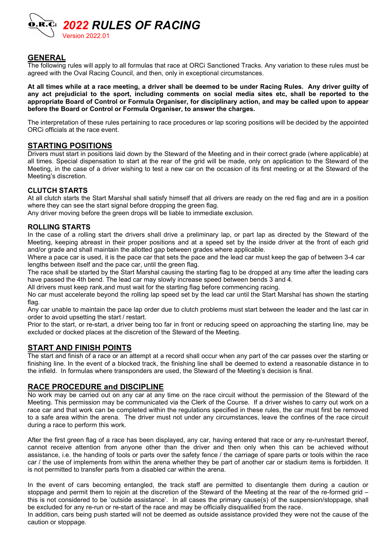

## GENERAL

The following rules will apply to all formulas that race at ORCi Sanctioned Tracks. Any variation to these rules must be agreed with the Oval Racing Council, and then, only in exceptional circumstances.

At all times while at a race meeting, a driver shall be deemed to be under Racing Rules. Any driver guilty of any act prejudicial to the sport, including comments on social media sites etc, shall be reported to the appropriate Board of Control or Formula Organiser, for disciplinary action, and may be called upon to appear before the Board or Control or Formula Organiser, to answer the charges.

The interpretation of these rules pertaining to race procedures or lap scoring positions will be decided by the appointed ORCi officials at the race event.

### STARTING POSITIONS

Drivers must start in positions laid down by the Steward of the Meeting and in their correct grade (where applicable) at all times. Special dispensation to start at the rear of the grid will be made, only on application to the Steward of the Meeting, in the case of a driver wishing to test a new car on the occasion of its first meeting or at the Steward of the Meeting's discretion.

### CLUTCH STARTS

At all clutch starts the Start Marshal shall satisfy himself that all drivers are ready on the red flag and are in a position where they can see the start signal before dropping the green flag.

Any driver moving before the green drops will be liable to immediate exclusion.

### ROLLING STARTS

In the case of a rolling start the drivers shall drive a preliminary lap, or part lap as directed by the Steward of the Meeting, keeping abreast in their proper positions and at a speed set by the inside driver at the front of each grid and/or grade and shall maintain the allotted gap between grades where applicable.

Where a pace car is used, it is the pace car that sets the pace and the lead car must keep the gap of between 3-4 car lengths between itself and the pace car, until the green flag.

The race shall be started by the Start Marshal causing the starting flag to be dropped at any time after the leading cars have passed the 4th bend. The lead car may slowly increase speed between bends 3 and 4.

All drivers must keep rank,and must wait for the starting flag before commencing racing.

No car must accelerate beyond the rolling lap speed set by the lead car until the Start Marshal has shown the starting flag.

Any car unable to maintain the pace lap order due to clutch problems must start between the leader and the last car in order to avoid upsetting the start / restart.

Prior to the start, or re-start, a driver being too far in front or reducing speed on approaching the starting line, may be excluded or docked places at the discretion of the Steward of the Meeting.

## START AND FINISH POINTS

The start and finish of a race or an attempt at a record shall occur when any part of the car passes over the starting or finishing line. In the event of a blocked track, the finishing line shall be deemed to extend a reasonable distance in to the infield. In formulas where transponders are used, the Steward of the Meeting's decision is final.

### RACE PROCEDURE and DISCIPLINE

No work may be carried out on any car at any time on the race circuit without the permission of the Steward of the Meeting. This permission may be communicated via the Clerk of the Course. If a driver wishes to carry out work on a race car and that work can be completed within the regulations specified in these rules, the car must first be removed to a safe area within the arena. The driver must not under any circumstances, leave the confines of the race circuit during a race to perform this work.

After the first green flag of a race has been displayed, any car, having entered that race or any re-run/restart thereof, cannot receive attention from anyone other than the driver and then only when this can be achieved without assistance, i.e. the handing of tools or parts over the safety fence / the carriage of spare parts or tools within the race car / the use of implements from within the arena whether they be part of another car or stadium items is forbidden. It is not permitted to transfer parts from a disabled car within the arena.

In the event of cars becoming entangled, the track staff are permitted to disentangle them during a caution or stoppage and permit them to rejoin at the discretion of the Steward of the Meeting at the rear of the re-formed grid – this is not considered to be 'outside assistance'. In all cases the primary cause(s) of the suspension/stoppage, shall be excluded for any re-run or re-start of the race and may be officially disqualified from the race.

In addition, cars being push started will not be deemed as outside assistance provided they were not the cause of the caution or stoppage.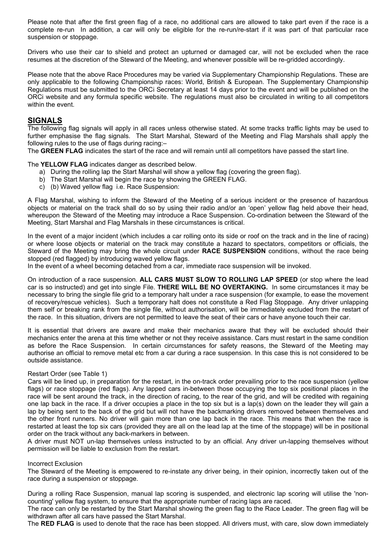Please note that after the first green flag of a race, no additional cars are allowed to take part even if the race is a complete re-run In addition, a car will only be eligible for the re-run/re-start if it was part of that particular race suspension or stoppage.

Drivers who use their car to shield and protect an upturned or damaged car, will not be excluded when the race resumes at the discretion of the Steward of the Meeting, and whenever possible will be re-gridded accordingly.

Please note that the above Race Procedures may be varied via Supplementary Championship Regulations. These are only applicable to the following Championship races: World, British & European. The Supplementary Championship Regulations must be submitted to the ORCi Secretary at least 14 days prior to the event and will be published on the ORCi website and any formula specific website. The regulations must also be circulated in writing to all competitors within the event.

## **SIGNALS**

The following flag signals will apply in all races unless otherwise stated. At some tracks traffic lights may be used to further emphasise the flag signals. The Start Marshal, Steward of the Meeting and Flag Marshals shall apply the following rules to the use of flags during racing:–

The GREEN FLAG indicates the start of the race and will remain until all competitors have passed the start line.

The YELLOW FLAG indicates danger as described below.

- a) During the rolling lap the Start Marshal will show a yellow flag (covering the green flag).
- b) The Start Marshal will begin the race by showing the GREEN FLAG.
- c) (b) Waved yellow flag i.e. Race Suspension:

A Flag Marshal, wishing to inform the Steward of the Meeting of a serious incident or the presence of hazardous objects or material on the track shall do so by using their radio and/or an 'open' yellow flag held above their head, whereupon the Steward of the Meeting may introduce a Race Suspension. Co-ordination between the Steward of the Meeting, Start Marshal and Flag Marshals in these circumstances is critical.

In the event of a major incident (which includes a car rolling onto its side or roof on the track and in the line of racing) or where loose objects or material on the track may constitute a hazard to spectators, competitors or officials, the Steward of the Meeting may bring the whole circuit under RACE SUSPENSION conditions, without the race being stopped (red flagged) by introducing waved yellow flags.

In the event of a wheel becoming detached from a car, immediate race suspension will be invoked.

On introduction of a race suspension. ALL CARS MUST SLOW TO ROLLING LAP SPEED (or stop where the lead car is so instructed) and get into single File. THERE WILL BE NO OVERTAKING. In some circumstances it may be necessary to bring the single file grid to a temporary halt under a race suspension (for example, to ease the movement of recovery/rescue vehicles). Such a temporary halt does not constitute a Red Flag Stoppage. Any driver unlapping them self or breaking rank from the single file, without authorisation, will be immediately excluded from the restart of the race. In this situation, drivers are not permitted to leave the seat of their cars or have anyone touch their car.

It is essential that drivers are aware and make their mechanics aware that they will be excluded should their mechanics enter the arena at this time whether or not they receive assistance. Cars must restart in the same condition as before the Race Suspension. In certain circumstances for safety reasons, the Steward of the Meeting may authorise an official to remove metal etc from a car during a race suspension. In this case this is not considered to be outside assistance.

#### Restart Order (see Table 1)

Cars will be lined up, in preparation for the restart, in the on-track order prevailing prior to the race suspension (yellow flags) or race stoppage (red flags). Any lapped cars in-between those occupying the top six positional places in the race will be sent around the track, in the direction of racing, to the rear of the grid, and will be credited with regaining one lap back in the race. If a driver occupies a place in the top six but is a lap(s) down on the leader they will gain a lap by being sent to the back of the grid but will not have the backmarking drivers removed between themselves and the other front runners. No driver will gain more than one lap back in the race. This means that when the race is restarted at least the top six cars (provided they are all on the lead lap at the time of the stoppage) will be in positional order on the track without any back-markers in between.

A driver must NOT un-lap themselves unless instructed to by an official. Any driver un-lapping themselves without permission will be liable to exclusion from the restart.

#### Incorrect Exclusion

The Steward of the Meeting is empowered to re-instate any driver being, in their opinion, incorrectly taken out of the race during a suspension or stoppage.

During a rolling Race Suspension, manual lap scoring is suspended, and electronic lap scoring will utilise the 'noncounting' yellow flag system, to ensure that the appropriate number of racing laps are raced.

The race can only be restarted by the Start Marshal showing the green flag to the Race Leader. The green flag will be withdrawn after all cars have passed the Start Marshal.

The RED FLAG is used to denote that the race has been stopped. All drivers must, with care, slow down immediately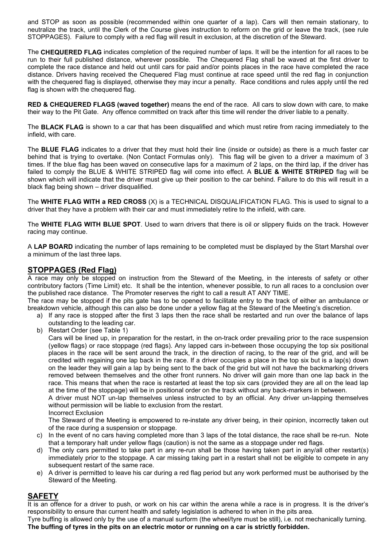and STOP as soon as possible (recommended within one quarter of a lap). Cars will then remain stationary, to neutralize the track, until the Clerk of the Course gives instruction to reform on the grid or leave the track, (see rule STOPPAGES). Failure to comply with a red flag will result in exclusion, at the discretion of the Steward.

The CHEQUERED FLAG indicates completion of the required number of laps. It will be the intention for all races to be run to their full published distance, wherever possible. The Chequered Flag shall be waved at the first driver to complete the race distance and held out until cars for paid and/or points places in the race have completed the race distance. Drivers having received the Chequered Flag must continue at race speed until the red flag in conjunction with the chequered flag is displayed, otherwise they may incur a penalty. Race conditions and rules apply until the red flag is shown with the chequered flag.

RED & CHEQUERED FLAGS (waved together) means the end of the race. All cars to slow down with care, to make their way to the Pit Gate. Any offence committed on track after this time will render the driver liable to a penalty.

The BLACK FLAG is shown to a car that has been disqualified and which must retire from racing immediately to the infield, with care.

The **BLUE FLAG** indicates to a driver that they must hold their line (inside or outside) as there is a much faster car behind that is trying to overtake. (Non Contact Formulas only). This flag will be given to a driver a maximum of 3 times. If the blue flag has been waved on consecutive laps for a maximum of 2 laps, on the third lap, if the driver has failed to comply the BLUE & WHITE STRIPED flag will come into effect. A BLUE & WHITE STRIPED flag will be shown which will indicate that the driver must give up their position to the car behind. Failure to do this will result in a black flag being shown – driver disqualified.

The WHITE FLAG WITH a RED CROSS (X) is a TECHNICAL DISQUALIFICATION FLAG. This is used to signal to a driver that they have a problem with their car and must immediately retire to the infield, with care.

The WHITE FLAG WITH BLUE SPOT. Used to warn drivers that there is oil or slippery fluids on the track. However racing may continue.

A LAP BOARD indicating the number of laps remaining to be completed must be displayed by the Start Marshal over a minimum of the last three laps.

# STOPPAGES (Red Flag)

A race may only be stopped on instruction from the Steward of the Meeting, in the interests of safety or other contributory factors (Time Limit) etc. It shall be the intention, whenever possible, to run all races to a conclusion over the published race distance. The Promoter reserves the right to call a result AT ANY TIME.

The race may be stopped if the pits gate has to be opened to facilitate entry to the track of either an ambulance or breakdown vehicle, although this can also be done under a yellow flag at the Steward of the Meeting's discretion.

- a) If any race is stopped after the first 3 laps then the race shall be restarted and run over the balance of laps outstanding to the leading car.
- b) Restart Order (see Table 1)

Cars will be lined up, in preparation for the restart, in the on-track order prevailing prior to the race suspension (yellow flags) or race stoppage (red flags). Any lapped cars in-between those occupying the top six positional places in the race will be sent around the track, in the direction of racing, to the rear of the grid, and will be credited with regaining one lap back in the race. If a driver occupies a place in the top six but is a lap(s) down on the leader they will gain a lap by being sent to the back of the grid but will not have the backmarking drivers removed between themselves and the other front runners. No driver will gain more than one lap back in the race. This means that when the race is restarted at least the top six cars (provided they are all on the lead lap at the time of the stoppage) will be in positional order on the track without any back-markers in between.

A driver must NOT un-lap themselves unless instructed to by an official. Any driver un-lapping themselves without permission will be liable to exclusion from the restart.

Incorrect Exclusion

The Steward of the Meeting is empowered to re-instate any driver being, in their opinion, incorrectly taken out of the race during a suspension or stoppage.

- c) In the event of no cars having completed more than 3 laps of the total distance, the race shall be re-run. Note that a temporary halt under yellow flags (caution) is not the same as a stoppage under red flags.
- d) The only cars permitted to take part in any re-run shall be those having taken part in any/all other restart(s) immediately prior to the stoppage. A car missing taking part in a restart shall not be eligible to compete in any subsequent restart of the same race.
- e) A driver is permitted to leave his car during a red flag period but any work performed must be authorised by the Steward of the Meeting.

## **SAFETY**

It is an offence for a driver to push, or work on his car within the arena while a race is in progress. It is the driver's responsibility to ensure that current health and safety legislation is adhered to when in the pits area.

Tyre buffing is allowed only by the use of a manual surform (the wheel/tyre must be still), i.e. not mechanically turning. The buffing of tyres in the pits on an electric motor or running on a car is strictly forbidden.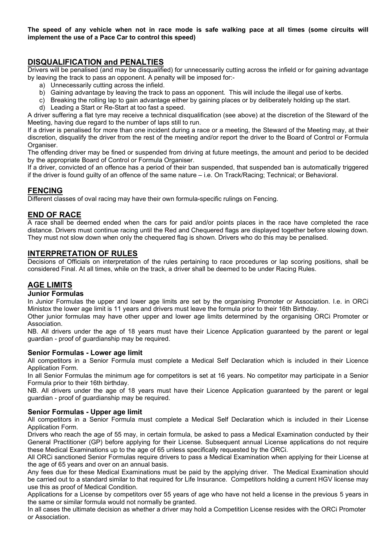The speed of any vehicle when not in race mode is safe walking pace at all times (some circuits will implement the use of a Pace Car to control this speed)

## DISQUALIFICATION and PENALTIES

Drivers will be penalised (and may be disqualified) for unnecessarily cutting across the infield or for gaining advantage by leaving the track to pass an opponent. A penalty will be imposed for:-

- a) Unnecessarily cutting across the infield.
- b) Gaining advantage by leaving the track to pass an opponent. This will include the illegal use of kerbs.
- c) Breaking the rolling lap to gain advantage either by gaining places or by deliberately holding up the start.
- d) Leading a Start or Re-Start at too fast a speed.

A driver suffering a flat tyre may receive a technical disqualification (see above) at the discretion of the Steward of the Meeting, having due regard to the number of laps still to run.

If a driver is penalised for more than one incident during a race or a meeting, the Steward of the Meeting may, at their discretion, disqualify the driver from the rest of the meeting and/or report the driver to the Board of Control or Formula Organiser.

The offending driver may be fined or suspended from driving at future meetings, the amount and period to be decided by the appropriate Board of Control or Formula Organiser.

If a driver, convicted of an offence has a period of their ban suspended, that suspended ban is automatically triggered if the driver is found guilty of an offence of the same nature – i.e. On Track/Racing; Technical; or Behavioral.

## FENCING

Different classes of oval racing may have their own formula-specific rulings on Fencing.

## END OF RACE

A race shall be deemed ended when the cars for paid and/or points places in the race have completed the race distance. Drivers must continue racing until the Red and Chequered flags are displayed together before slowing down. They must not slow down when only the chequered flag is shown. Drivers who do this may be penalised.

## INTERPRETATION OF RULES

Decisions of Officials on interpretation of the rules pertaining to race procedures or lap scoring positions, shall be considered Final. At all times, while on the track, a driver shall be deemed to be under Racing Rules.

## AGE LIMITS

### Junior Formulas

In Junior Formulas the upper and lower age limits are set by the organising Promoter or Association. I.e. in ORCi Ministox the lower age limit is 11 years and drivers must leave the formula prior to their 16th Birthday.

Other junior formulas may have other upper and lower age limits determined by the organising ORCi Promoter or Association.

NB. All drivers under the age of 18 years must have their Licence Application guaranteed by the parent or legal guardian - proof of guardianship may be required.

### Senior Formulas - Lower age limit

All competitors in a Senior Formula must complete a Medical Self Declaration which is included in their Licence Application Form.

In all Senior Formulas the minimum age for competitors is set at 16 years. No competitor may participate in a Senior Formula prior to their 16th birthday.

NB. All drivers under the age of 18 years must have their Licence Application guaranteed by the parent or legal guardian - proof of guardianship may be required.

### Senior Formulas - Upper age limit

All competitors in a Senior Formula must complete a Medical Self Declaration which is included in their License Application Form.

Drivers who reach the age of 55 may, in certain formula, be asked to pass a Medical Examination conducted by their General Practitioner (GP) before applying for their License. Subsequent annual License applications do not require these Medical Examinations up to the age of 65 unless specifically requested by the ORCi.

All ORCi sanctioned Senior Formulas require drivers to pass a Medical Examination when applying for their License at the age of 65 years and over on an annual basis.

Any fees due for these Medical Examinations must be paid by the applying driver. The Medical Examination should be carried out to a standard similar to that required for Life Insurance. Competitors holding a current HGV license may use this as proof of Medical Condition.

Applications for a License by competitors over 55 years of age who have not held a license in the previous 5 years in the same or similar formula would not normally be granted.

In all cases the ultimate decision as whether a driver may hold a Competition License resides with the ORCi Promoter or Association.